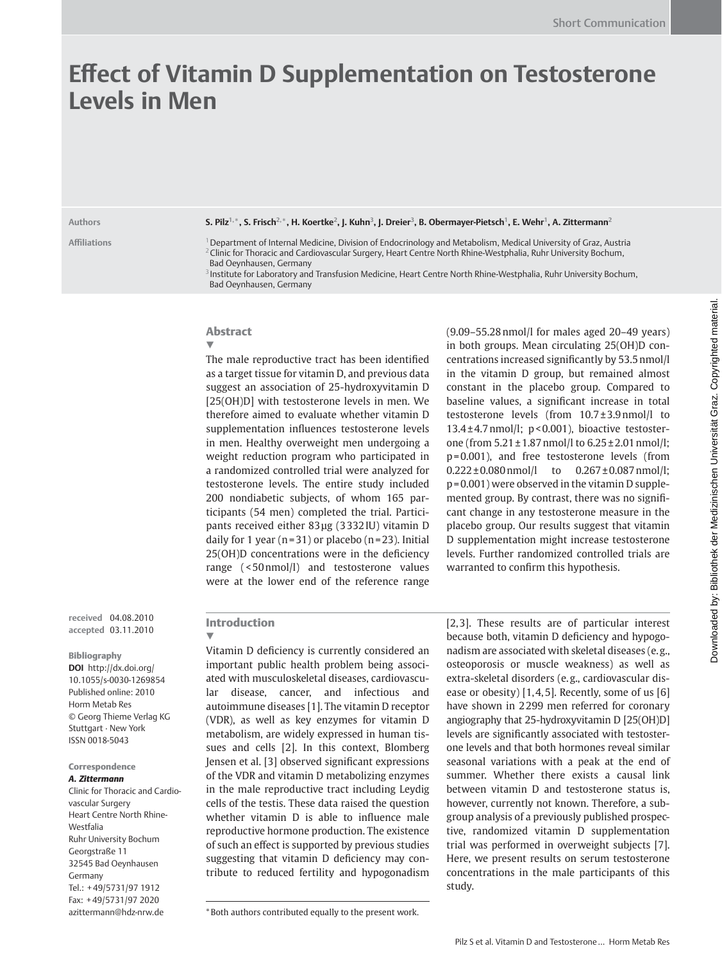# **Eff ect of Vitamin D Supplementation on Testosterone Levels in Men**

#### **Authors S. Pilz 1, \*, S. Frisch 2, \* , H. Koertke 2, J. Kuhn 3, J. Dreier 3, B. Obermayer-Pietsch 1, E. Wehr 1, A. Zittermann 2**

**Affi liations** 1 Department of Internal Medicine, Division of Endocrinology and Metabolism, Medical University of Graz, Austria <sup>2</sup> Clinic for Thoracic and Cardiovascular Surgery, Heart Centre North Rhine-Westphalia, Ruhr University Bochum, Bad Oeynhausen, Germany

<sup>3</sup> Institute for Laboratory and Transfusion Medicine, Heart Centre North Rhine-Westphalia, Ruhr University Bochum, Bad Oeynhausen, Germany

## Abstract ▼

The male reproductive tract has been identified as a target tissue for vitamin D, and previous data suggest an association of 25-hydroxy vitamin D [25(OH)D] with testosterone levels in men. We therefore aimed to evaluate whether vitamin D supplementation influences testosterone levels in men. Healthy overweight men undergoing a weight reduction program who participated in a randomized controlled trial were analyzed for testosterone levels. The entire study included 200 nondiabetic subjects, of whom 165 participants (54 men) completed the trial. Participants received either 83μg (3332IU) vitamin D daily for 1 year  $(n=31)$  or placebo  $(n=23)$ . Initial  $25(OH)D$  concentrations were in the deficiency range  $($  < 50 nmol $/$ l) and testosterone values were at the lower end of the reference range

 $(9.09 - 55.28 \text{ nmol/l}$  for males aged 20-49 years) in both groups. Mean circulating 25(OH)D concentrations increased significantly by 53.5 nmol/l in the vitamin D group, but remained almost constant in the placebo group. Compared to baseline values, a significant increase in total testosterone levels (from  $10.7 \pm 3.9$  nmol/l to 13.4 $\pm$ 4.7 nmol/l; p < 0.001), bioactive testosterone (from  $5.21 \pm 1.87$  nmol/l to  $6.25 \pm 2.01$  nmol/l; p = 0.001), and free testosterone levels (from  $0.222 \pm 0.080$  nmol/l to  $0.267 \pm 0.087$  nmol/l; p = 0.001) were observed in the vitamin D supplemented group. By contrast, there was no significant change in any testosterone measure in the placebo group. Our results suggest that vitamin D supplementation might increase testosterone levels. Further randomized controlled trials are warranted to confirm this hypothesis.

**received** 04.08.2010 **accepted** 03.11.2010

#### Bibliography

**DOI** http://dx.doi.org/ 10.1055/s-0030-1269854 Published online: 2010 Horm Metab Res © Georg Thieme Verlag KG Stuttgart · New York ISSN 0018-5043

#### Correspondence

#### *A. Zittermann*

 Clinic for Thoracic and Cardiovascular Surgery Heart Centre North Rhine-Westfalia Ruhr University Bochum Georgstraße 11 32545 Bad Oeynhausen Germany Tel.: +49/5731/97 1912 Fax: +49/5731/97 2020 azittermann@hdz-nrw.de

## Introduction

▼

Vitamin D deficiency is currently considered an important public health problem being associated with musculoskeletal diseases, cardiovascular disease, cancer, and infectious and autoimmune diseases [1]. The vitamin D receptor (VDR), as well as key enzymes for vitamin D metabolism, are widely expressed in human tissues and cells [2]. In this context, Blomberg Jensen et al. [3] observed significant expressions of the VDR and vitamin D metabolizing enzymes in the male reproductive tract including Leydig cells of the testis. These data raised the question whether vitamin D is able to influence male reproductive hormone production. The existence of such an effect is supported by previous studies suggesting that vitamin D deficiency may contribute to reduced fertility and hypogonadism

[2,3]. These results are of particular interest because both, vitamin D deficiency and hypogonadism are associated with skeletal diseases (e. g., osteoporosis or muscle weakness) as well as extra-skeletal disorders (e. g., cardiovascular disease or obesity)  $[1, 4, 5]$ . Recently, some of us  $[6]$ have shown in 2 299 men referred for coronary angiography that 25-hydroxyvitamin D [25(OH)D] levels are significantly associated with testosterone levels and that both hormones reveal similar seasonal variations with a peak at the end of summer. Whether there exists a causal link between vitamin D and testosterone status is, however, currently not known. Therefore, a subgroup analysis of a previously published prospective, randomized vitamin D supplementation trial was performed in overweight subjects [7]. Here, we present results on serum testosterone concentrations in the male participants of this study.

 <sup>\*</sup> Both authors contributed equally to the present work.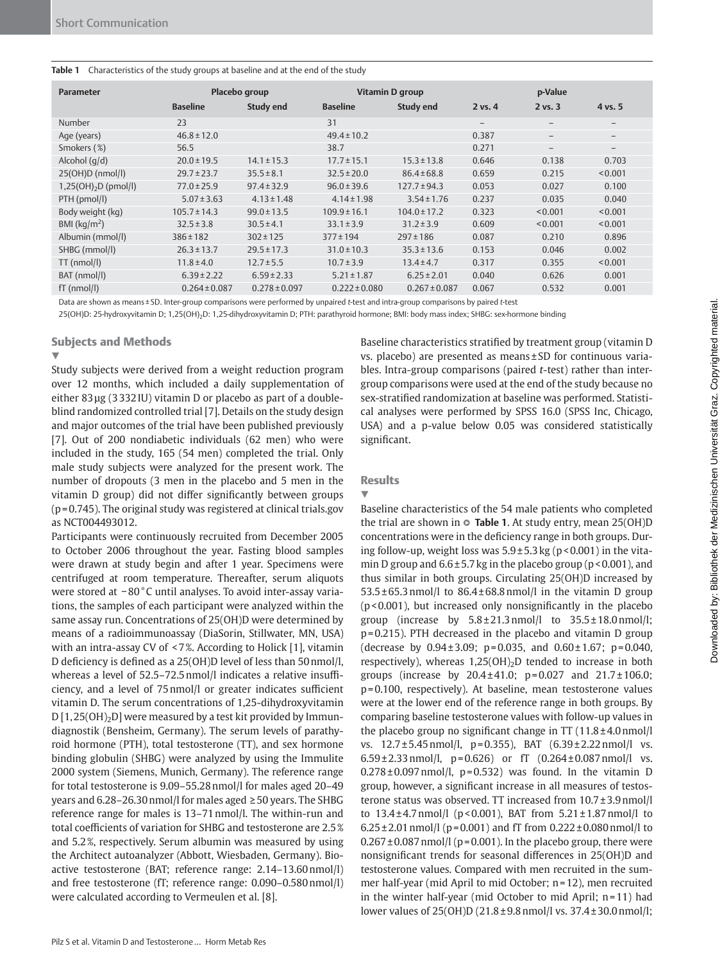#### **Table 1** Characteristics of the study groups at baseline and at the end of the study

| Parameter                | Placebo group     |                   | Vitamin D group   |                   | p-Value           |                                 |                          |
|--------------------------|-------------------|-------------------|-------------------|-------------------|-------------------|---------------------------------|--------------------------|
|                          | <b>Baseline</b>   | <b>Study end</b>  | <b>Baseline</b>   | <b>Study end</b>  | $2$ vs. $4$       | $2$ vs. $3$                     | 4 vs. 5                  |
| Number                   | 23                |                   | 31                |                   | $\qquad \qquad -$ | $\hspace{0.1mm}-\hspace{0.1mm}$ | $\qquad \qquad -$        |
| Age (years)              | $46.8 \pm 12.0$   |                   | $49.4 \pm 10.2$   |                   | 0.387             | $\qquad \qquad -$               | $\qquad \qquad -$        |
| Smokers (%)              | 56.5              |                   | 38.7              |                   | 0.271             | $\qquad \qquad -$               | $\overline{\phantom{m}}$ |
| Alcohol $(q/d)$          | $20.0 \pm 19.5$   | $14.1 \pm 15.3$   | $17.7 \pm 15.1$   | $15.3 \pm 13.8$   | 0.646             | 0.138                           | 0.703                    |
| 25(OH)D (nmol/l)         | $29.7 \pm 23.7$   | $35.5 \pm 8.1$    | $32.5 \pm 20.0$   | $86.4 \pm 68.8$   | 0.659             | 0.215                           | < 0.001                  |
| $1,25(OH)_{2}D$ (pmol/l) | $77.0 \pm 25.9$   | $97.4 \pm 32.9$   | $96.0 \pm 39.6$   | $127.7 \pm 94.3$  | 0.053             | 0.027                           | 0.100                    |
| PTH (pmol/l)             | $5.07 \pm 3.63$   | $4.13 \pm 1.48$   | $4.14 \pm 1.98$   | $3.54 \pm 1.76$   | 0.237             | 0.035                           | 0.040                    |
| Body weight (kg)         | $105.7 \pm 14.3$  | $99.0 \pm 13.5$   | $109.9 \pm 16.1$  | $104.0 \pm 17.2$  | 0.323             | < 0.001                         | < 0.001                  |
| BMI ( $\text{kg/m}^2$ )  | $32.5 \pm 3.8$    | $30.5 \pm 4.1$    | $33.1 \pm 3.9$    | $31.2 \pm 3.9$    | 0.609             | < 0.001                         | < 0.001                  |
| Albumin (mmol/l)         | $386 \pm 182$     | $302 \pm 125$     | $377 \pm 194$     | $297 \pm 186$     | 0.087             | 0.210                           | 0.896                    |
| SHBG (mmol/l)            | $26.3 \pm 13.7$   | $29.5 \pm 17.3$   | $31.0 \pm 10.3$   | $35.3 \pm 13.6$   | 0.153             | 0.046                           | 0.002                    |
| $TT$ (nmol/l)            | $11.8 \pm 4.0$    | $12.7 \pm 5.5$    | $10.7 \pm 3.9$    | $13.4 \pm 4.7$    | 0.317             | 0.355                           | < 0.001                  |
| BAT (nmol/l)             | $6.39 \pm 2.22$   | $6.59 \pm 2.33$   | $5.21 \pm 1.87$   | $6.25 \pm 2.01$   | 0.040             | 0.626                           | 0.001                    |
| $fT$ (nmol/l)            | $0.264 \pm 0.087$ | $0.278 \pm 0.097$ | $0.222 \pm 0.080$ | $0.267 \pm 0.087$ | 0.067             | 0.532                           | 0.001                    |

Data are shown as means ± SD. Inter-group comparisons were performed by unpaired *t* -test and intra-group comparisons by paired *t* -test

25(OH)D: 25-hydroxyvitamin D; 1,25(OH)<sub>2</sub>D: 1,25-dihydroxyvitamin D; PTH: parathyroid hormone; BMI: body mass index; SHBG: sex-hormone binding

## Subjects and Methods

### ▼

 Study subjects were derived from a weight reduction program over 12 months, which included a daily supplementation of either 83 μg (3332 IU) vitamin D or placebo as part of a doubleblind randomized controlled trial [7]. Details on the study design and major outcomes of the trial have been published previously [7]. Out of 200 nondiabetic individuals (62 men) who were included in the study, 165 (54 men) completed the trial. Only male study subjects were analyzed for the present work. The number of dropouts (3 men in the placebo and 5 men in the vitamin D group) did not differ significantly between groups  $(p=0.745)$ . The original study was registered at clinical trials.gov as NCT004493012.

 Participants were continuously recruited from December 2005 to October 2006 throughout the year. Fasting blood samples were drawn at study begin and after 1 year. Specimens were centrifuged at room temperature. Thereafter, serum aliquots were stored at − 80 ° C until analyses. To avoid inter-assay variations, the samples of each participant were analyzed within the same assay run. Concentrations of 25(OH)D were determined by means of a radioimmunoassay (DiaSorin, Stillwater, MN, USA) with an intra-assay CV of <7%. According to Holick [1], vitamin D deficiency is defined as a 25(OH)D level of less than 50 nmol/l, whereas a level of 52.5-72.5 nmol/l indicates a relative insufficiency, and a level of 75 nmol/l or greater indicates sufficient vitamin D. The serum concentrations of 1,25-dihydroxyvitamin  $D[1, 25(OH)_2D]$  were measured by a test kit provided by Immundiagnostik (Bensheim, Germany). The serum levels of parathyroid hormone (PTH), total testosterone (TT), and sex hormone binding globulin (SHBG) were analyzed by using the Immulite 2000 system (Siemens, Munich, Germany). The reference range for total testosterone is 9.09-55.28 nmol/l for males aged 20-49 years and  $6.28 - 26.30$  nmol/l for males aged  $\geq 50$  years. The SHBG reference range for males is 13-71 nmol/l. The within-run and total coefficients of variation for SHBG and testosterone are 2.5% and 5.2%, respectively. Serum albumin was measured by using the Architect autoanalyzer (Abbott, Wiesbaden, Germany). Bioactive testosterone (BAT; reference range: 2.14-13.60 nmol/l) and free testosterone (fT; reference range: 0.090-0.580 nmol/l) were calculated according to Vermeulen et al. [8].

Baseline characteristics stratified by treatment group (vitamin D vs. placebo) are presented as means ± SD for continuous variables. Intra-group comparisons (paired *t* -test) rather than intergroup comparisons were used at the end of the study because no sex-stratified randomization at baseline was performed. Statistical analyses were performed by SPSS 16.0 (SPSS Inc, Chicago, USA) and a p-value below 0.05 was considered statistically significant.

## **Results**

## ▼ Baseline characteristics of the 54 male patients who completed the trial are shown in **○ Table 1**. At study entry, mean 25(OH)D concentrations were in the deficiency range in both groups. During follow-up, weight loss was  $5.9 \pm 5.3$  kg (p < 0.001) in the vitamin D group and  $6.6 \pm 5.7$  kg in the placebo group ( $p < 0.001$ ), and thus similar in both groups. Circulating 25(OH)D increased by  $53.5 \pm 65.3$  nmol/l to  $86.4 \pm 68.8$  nmol/l in the vitamin D group  $(p < 0.001)$ , but increased only nonsignificantly in the placebo group (increase by  $5.8 \pm 21.3$  nmol/l to  $35.5 \pm 18.0$  nmol/l; p = 0.215). PTH decreased in the placebo and vitamin D group (decrease by  $0.94 \pm 3.09$ ; p=0.035, and  $0.60 \pm 1.67$ ; p=0.040, respectively), whereas  $1,25(OH)_2D$  tended to increase in both groups (increase by 20.4±41.0; p=0.027 and 21.7±106.0; p = 0.100, respectively). At baseline, mean testosterone values were at the lower end of the reference range in both groups. By comparing baseline testosterone values with follow-up values in the placebo group no significant change in  $TT(11.8 \pm 4.0 \text{ nmol/l})$ vs.  $12.7 \pm 5.45$  nmol/l, p=0.355), BAT  $(6.39 \pm 2.22$  nmol/l vs.  $6.59 \pm 2.33$  nmol/l, p=0.626) or fT  $(0.264 \pm 0.087$  nmol/l vs.  $0.278 \pm 0.097$  nmol/l,  $p = 0.532$ ) was found. In the vitamin D group, however, a significant increase in all measures of testosterone status was observed. TT increased from  $10.7 \pm 3.9 \text{ nmol/l}$ to  $13.4 \pm 4.7$  nmol/l (p < 0.001), BAT from  $5.21 \pm 1.87$  nmol/l to  $6.25 \pm 2.01$  nmol/l (p=0.001) and fT from 0.222 $\pm$ 0.080 nmol/l to  $0.267 \pm 0.087$  nmol/l (p=0.001). In the placebo group, there were nonsignificant trends for seasonal differences in 25(OH)D and testosterone values. Compared with men recruited in the summer half-year (mid April to mid October; n = 12), men recruited in the winter half-year (mid October to mid April;  $n = 11$ ) had lower values of 25(OH)D (21.8 ± 9.8 nmol/l vs. 37.4 ± 30.0 nmol/l;